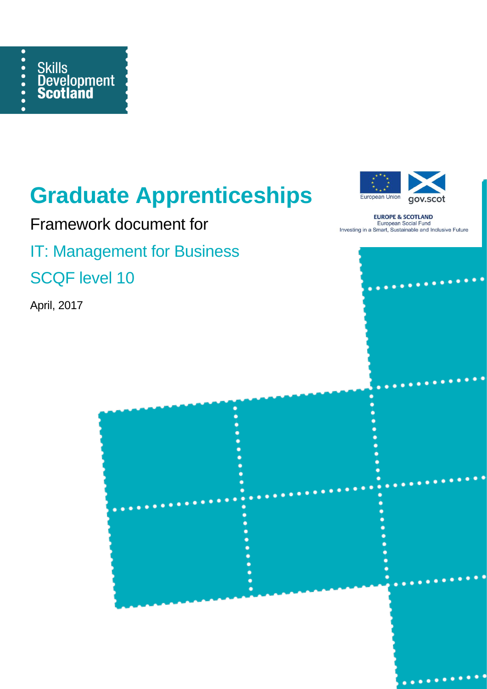

## **Graduate Apprenticeships**



Framework document for

IT: Management for Business

SCQF level 10

April, 2017



**EUROPE & SCOTLAND** European Social Fund Investing in a Smart, Sustainable and Inclusive Future

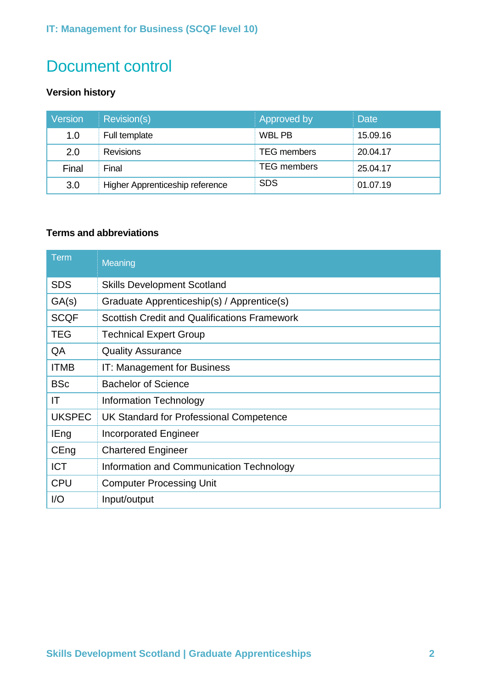## Document control

## **Version history**

| <b>Version</b> | Revision(s)                     | Approved by        | <b>Date</b> |
|----------------|---------------------------------|--------------------|-------------|
| 1.0            | Full template                   | WBL PB             | 15.09.16    |
| 2.0            | <b>Revisions</b>                | <b>TEG</b> members | 20.04.17    |
| Final          | Final                           | <b>TEG</b> members | 25.04.17    |
| 3.0            | Higher Apprenticeship reference | <b>SDS</b>         | 01.07.19    |

## **Terms and abbreviations**

| <b>Term</b>   | Meaning                                             |  |
|---------------|-----------------------------------------------------|--|
| <b>SDS</b>    | <b>Skills Development Scotland</b>                  |  |
| GA(s)         | Graduate Apprenticeship(s) / Apprentice(s)          |  |
| <b>SCQF</b>   | <b>Scottish Credit and Qualifications Framework</b> |  |
| <b>TEG</b>    | <b>Technical Expert Group</b>                       |  |
| QA            | <b>Quality Assurance</b>                            |  |
| <b>ITMB</b>   | IT: Management for Business                         |  |
| <b>BSc</b>    | <b>Bachelor of Science</b>                          |  |
| IT            | Information Technology                              |  |
| <b>UKSPEC</b> | UK Standard for Professional Competence             |  |
| <b>IEng</b>   | <b>Incorporated Engineer</b>                        |  |
| CEng          | <b>Chartered Engineer</b>                           |  |
| <b>ICT</b>    | Information and Communication Technology            |  |
| <b>CPU</b>    | <b>Computer Processing Unit</b>                     |  |
| I/O           | Input/output                                        |  |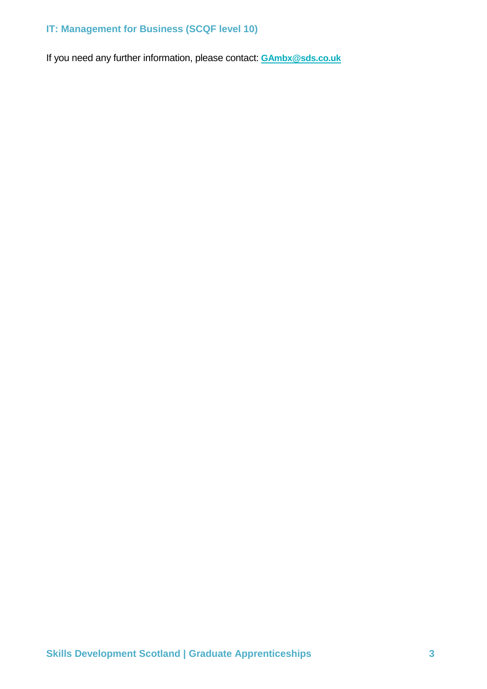If you need any further information, please contact: **[GAmbx@sds.co.uk](mailto:glambx@sds.co.uk)**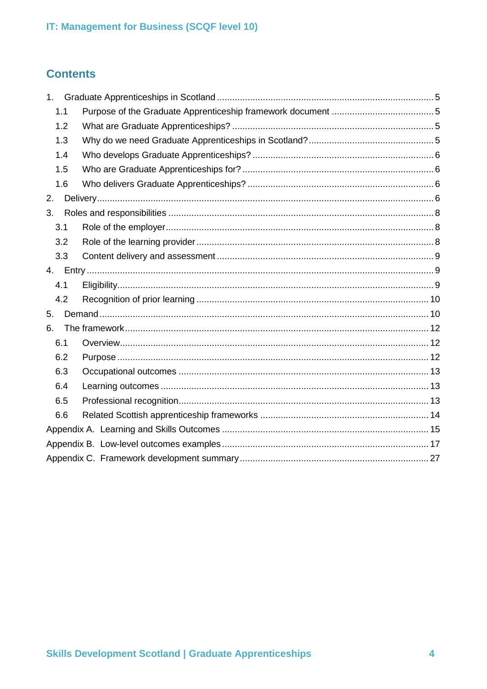## **Contents**

| 1 <sub>1</sub> |  |  |  |
|----------------|--|--|--|
| 1.1            |  |  |  |
| 1.2            |  |  |  |
| 1.3            |  |  |  |
| 1.4            |  |  |  |
| 1.5            |  |  |  |
| 1.6            |  |  |  |
| 2.             |  |  |  |
| 3.             |  |  |  |
| 3.1            |  |  |  |
| 3.2            |  |  |  |
| 3.3            |  |  |  |
|                |  |  |  |
| 4.1            |  |  |  |
| 4.2            |  |  |  |
| 5.             |  |  |  |
| 6.             |  |  |  |
| 6.1            |  |  |  |
| 6.2            |  |  |  |
| 6.3            |  |  |  |
| 6.4            |  |  |  |
| 6.5            |  |  |  |
| 6.6            |  |  |  |
|                |  |  |  |
|                |  |  |  |
|                |  |  |  |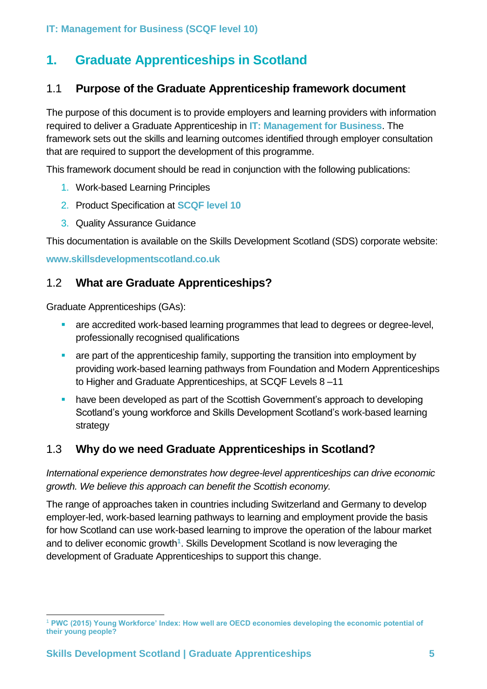## <span id="page-4-0"></span>**1. Graduate Apprenticeships in Scotland**

## <span id="page-4-1"></span>1.1 **Purpose of the Graduate Apprenticeship framework document**

The purpose of this document is to provide employers and learning providers with information required to deliver a Graduate Apprenticeship in **IT: Management for Business**. The framework sets out the skills and learning outcomes identified through employer consultation that are required to support the development of this programme.

This framework document should be read in conjunction with the following publications:

- 1. Work-based Learning Principles
- 2. Product Specification at **SCQF level 10**
- 3. Quality Assurance Guidance

This documentation is available on the Skills Development Scotland (SDS) corporate website:

**www.skillsdevelopmentscotland.co.uk**

## <span id="page-4-2"></span>1.2 **What are Graduate Apprenticeships?**

Graduate Apprenticeships (GAs):

- are accredited work-based learning programmes that lead to degrees or degree-level, professionally recognised qualifications
- are part of the apprenticeship family, supporting the transition into employment by providing work-based learning pathways from Foundation and Modern Apprenticeships to Higher and Graduate Apprenticeships, at SCQF Levels 8 –11
- have been developed as part of the Scottish Government's approach to developing Scotland's young workforce and Skills Development Scotland's work-based learning strategy

## <span id="page-4-3"></span>1.3 **Why do we need Graduate Apprenticeships in Scotland?**

*International experience demonstrates how degree-level apprenticeships can drive economic growth. We believe this approach can benefit the Scottish economy.*

The range of approaches taken in countries including Switzerland and Germany to develop employer-led, work-based learning pathways to learning and employment provide the basis for how Scotland can use work-based learning to improve the operation of the labour market and to deliver economic growth**<sup>1</sup>** . Skills Development Scotland is now leveraging the development of Graduate Apprenticeships to support this change.

<sup>-</sup><sup>1</sup> **PWC (2015) Young Workforce' Index: How well are OECD economies developing the economic potential of their young people?**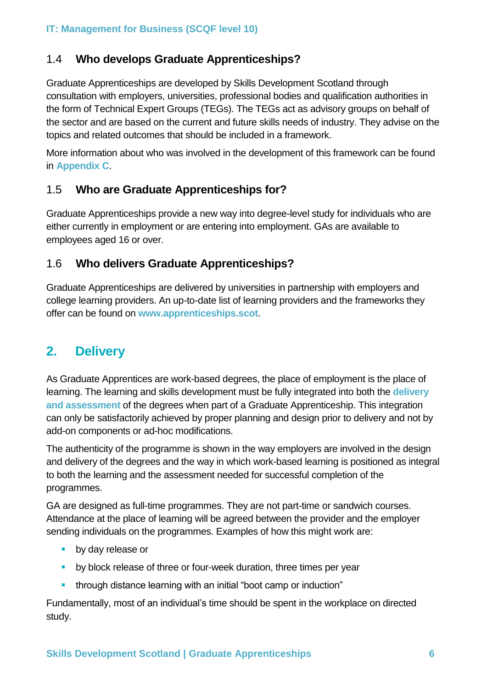## <span id="page-5-0"></span>1.4 **Who develops Graduate Apprenticeships?**

Graduate Apprenticeships are developed by Skills Development Scotland through consultation with employers, universities, professional bodies and qualification authorities in the form of Technical Expert Groups (TEGs). The TEGs act as advisory groups on behalf of the sector and are based on the current and future skills needs of industry. They advise on the topics and related outcomes that should be included in a framework.

More information about who was involved in the development of this framework can be found in **Appendix C**.

## <span id="page-5-1"></span>1.5 **Who are Graduate Apprenticeships for?**

Graduate Apprenticeships provide a new way into degree-level study for individuals who are either currently in employment or are entering into employment. GAs are available to employees aged 16 or over.

## <span id="page-5-2"></span>1.6 **Who delivers Graduate Apprenticeships?**

Graduate Apprenticeships are delivered by universities in partnership with employers and college learning providers. An up-to-date list of learning providers and the frameworks they offer can be found on **www.apprenticeships.scot**.

## <span id="page-5-3"></span>**2. Delivery**

As Graduate Apprentices are work-based degrees, the place of employment is the place of learning. The learning and skills development must be fully integrated into both the **delivery and assessment** of the degrees when part of a Graduate Apprenticeship. This integration can only be satisfactorily achieved by proper planning and design prior to delivery and not by add-on components or ad-hoc modifications.

The authenticity of the programme is shown in the way employers are involved in the design and delivery of the degrees and the way in which work-based learning is positioned as integral to both the learning and the assessment needed for successful completion of the programmes.

GA are designed as full-time programmes. They are not part-time or sandwich courses. Attendance at the place of learning will be agreed between the provider and the employer sending individuals on the programmes. Examples of how this might work are:

- **•** by day release or
- **E** by block release of three or four-week duration, three times per year
- through distance learning with an initial "boot camp or induction"

Fundamentally, most of an individual's time should be spent in the workplace on directed study.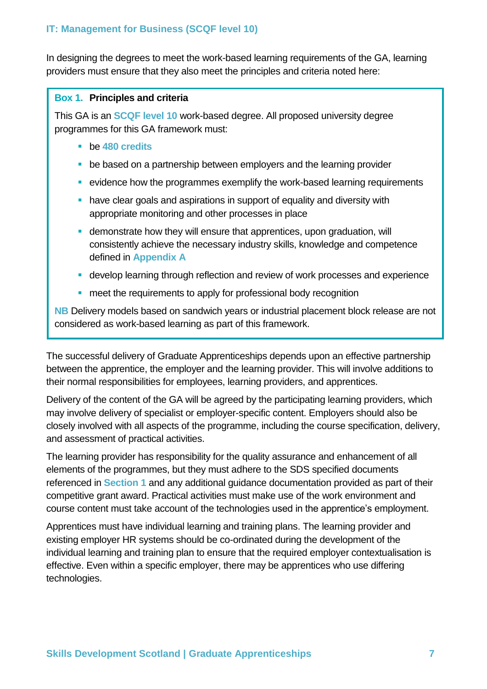In designing the degrees to meet the work-based learning requirements of the GA, learning providers must ensure that they also meet the principles and criteria noted here:

#### **Box 1. Principles and criteria**

This GA is an **SCQF level 10** work-based degree. All proposed university degree programmes for this GA framework must:

- be **480 credits**
- be based on a partnership between employers and the learning provider
- evidence how the programmes exemplify the work-based learning requirements
- **have clear goals and aspirations in support of equality and diversity with** appropriate monitoring and other processes in place
- **EXECT** demonstrate how they will ensure that apprentices, upon graduation, will consistently achieve the necessary industry skills, knowledge and competence defined in **Appendix A**
- **E** develop learning through reflection and review of work processes and experience
- meet the requirements to apply for professional body recognition

**NB** Delivery models based on sandwich years or industrial placement block release are not considered as work-based learning as part of this framework.

The successful delivery of Graduate Apprenticeships depends upon an effective partnership between the apprentice, the employer and the learning provider. This will involve additions to their normal responsibilities for employees, learning providers, and apprentices.

Delivery of the content of the GA will be agreed by the participating learning providers, which may involve delivery of specialist or employer-specific content. Employers should also be closely involved with all aspects of the programme, including the course specification, delivery, and assessment of practical activities.

The learning provider has responsibility for the quality assurance and enhancement of all elements of the programmes, but they must adhere to the SDS specified documents referenced in **Section 1** and any additional guidance documentation provided as part of their competitive grant award. Practical activities must make use of the work environment and course content must take account of the technologies used in the apprentice's employment.

Apprentices must have individual learning and training plans. The learning provider and existing employer HR systems should be co-ordinated during the development of the individual learning and training plan to ensure that the required employer contextualisation is effective. Even within a specific employer, there may be apprentices who use differing technologies.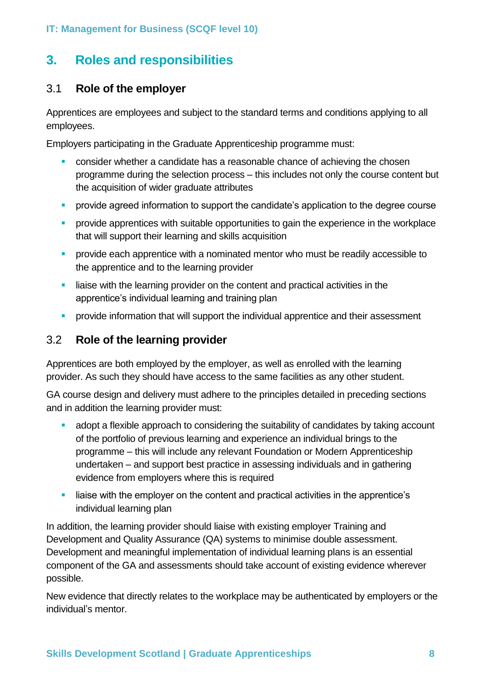## <span id="page-7-0"></span>**3. Roles and responsibilities**

## <span id="page-7-1"></span>3.1 **Role of the employer**

Apprentices are employees and subject to the standard terms and conditions applying to all employees.

Employers participating in the Graduate Apprenticeship programme must:

- consider whether a candidate has a reasonable chance of achieving the chosen programme during the selection process – this includes not only the course content but the acquisition of wider graduate attributes
- **•** provide agreed information to support the candidate's application to the degree course
- **•** provide apprentices with suitable opportunities to gain the experience in the workplace that will support their learning and skills acquisition
- **•** provide each apprentice with a nominated mentor who must be readily accessible to the apprentice and to the learning provider
- **EXECT** liaise with the learning provider on the content and practical activities in the apprentice's individual learning and training plan
- **•** provide information that will support the individual apprentice and their assessment

## <span id="page-7-2"></span>3.2 **Role of the learning provider**

Apprentices are both employed by the employer, as well as enrolled with the learning provider. As such they should have access to the same facilities as any other student.

GA course design and delivery must adhere to the principles detailed in preceding sections and in addition the learning provider must:

- adopt a flexible approach to considering the suitability of candidates by taking account of the portfolio of previous learning and experience an individual brings to the programme – this will include any relevant Foundation or Modern Apprenticeship undertaken – and support best practice in assessing individuals and in gathering evidence from employers where this is required
- liaise with the employer on the content and practical activities in the apprentice's individual learning plan

In addition, the learning provider should liaise with existing employer Training and Development and Quality Assurance (QA) systems to minimise double assessment. Development and meaningful implementation of individual learning plans is an essential component of the GA and assessments should take account of existing evidence wherever possible.

New evidence that directly relates to the workplace may be authenticated by employers or the individual's mentor.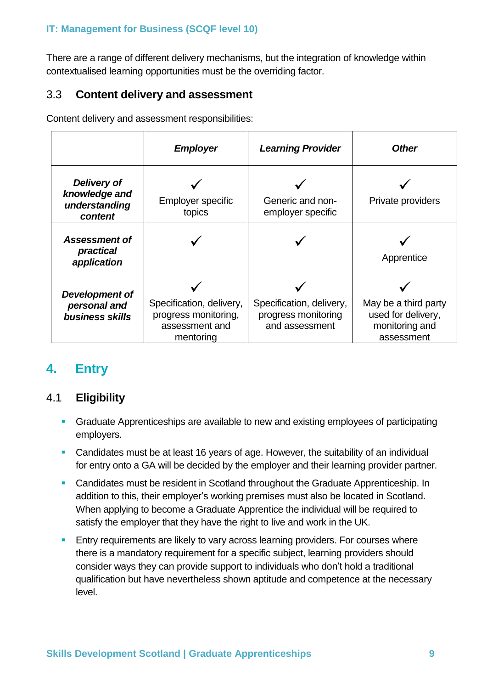There are a range of different delivery mechanisms, but the integration of knowledge within contextualised learning opportunities must be the overriding factor.

## <span id="page-8-0"></span>3.3 **Content delivery and assessment**

Content delivery and assessment responsibilities:

|                                                          | <b>Employer</b>                                                                 | <b>Learning Provider</b>                                          | <b>Other</b>                                                               |
|----------------------------------------------------------|---------------------------------------------------------------------------------|-------------------------------------------------------------------|----------------------------------------------------------------------------|
| Delivery of<br>knowledge and<br>understanding<br>content | <b>Employer specific</b><br>topics                                              | Generic and non-<br>employer specific                             | Private providers                                                          |
| <b>Assessment of</b><br>practical<br>application         |                                                                                 |                                                                   | Apprentice                                                                 |
| Development of<br>personal and<br>business skills        | Specification, delivery,<br>progress monitoring,<br>assessment and<br>mentoring | Specification, delivery,<br>progress monitoring<br>and assessment | May be a third party<br>used for delivery,<br>monitoring and<br>assessment |

## <span id="page-8-1"></span>**4. Entry**

## <span id="page-8-2"></span>4.1 **Eligibility**

- **Graduate Apprenticeships are available to new and existing employees of participating** employers.
- Candidates must be at least 16 years of age. However, the suitability of an individual for entry onto a GA will be decided by the employer and their learning provider partner.
- Candidates must be resident in Scotland throughout the Graduate Apprenticeship. In addition to this, their employer's working premises must also be located in Scotland. When applying to become a Graduate Apprentice the individual will be required to satisfy the employer that they have the right to live and work in the UK.
- **Entry requirements are likely to vary across learning providers. For courses where** there is a mandatory requirement for a specific subject, learning providers should consider ways they can provide support to individuals who don't hold a traditional qualification but have nevertheless shown aptitude and competence at the necessary level.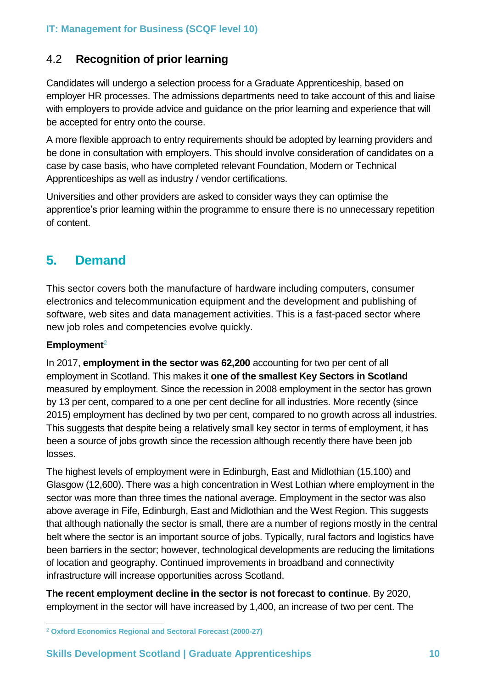## <span id="page-9-0"></span>4.2 **Recognition of prior learning**

Candidates will undergo a selection process for a Graduate Apprenticeship, based on employer HR processes. The admissions departments need to take account of this and liaise with employers to provide advice and guidance on the prior learning and experience that will be accepted for entry onto the course.

A more flexible approach to entry requirements should be adopted by learning providers and be done in consultation with employers. This should involve consideration of candidates on a case by case basis, who have completed relevant Foundation, Modern or Technical Apprenticeships as well as industry / vendor certifications.

Universities and other providers are asked to consider ways they can optimise the apprentice's prior learning within the programme to ensure there is no unnecessary repetition of content.

## <span id="page-9-1"></span>**5. Demand**

This sector covers both the manufacture of hardware including computers, consumer electronics and telecommunication equipment and the development and publishing of software, web sites and data management activities. This is a fast-paced sector where new job roles and competencies evolve quickly.

## **Employment**<sup>2</sup>

In 2017, **employment in the sector was 62,200** accounting for two per cent of all employment in Scotland. This makes it **one of the smallest Key Sectors in Scotland** measured by employment. Since the recession in 2008 employment in the sector has grown by 13 per cent, compared to a one per cent decline for all industries. More recently (since 2015) employment has declined by two per cent, compared to no growth across all industries. This suggests that despite being a relatively small key sector in terms of employment, it has been a source of jobs growth since the recession although recently there have been job losses.

The highest levels of employment were in Edinburgh, East and Midlothian (15,100) and Glasgow (12,600). There was a high concentration in West Lothian where employment in the sector was more than three times the national average. Employment in the sector was also above average in Fife, Edinburgh, East and Midlothian and the West Region. This suggests that although nationally the sector is small, there are a number of regions mostly in the central belt where the sector is an important source of jobs. Typically, rural factors and logistics have been barriers in the sector; however, technological developments are reducing the limitations of location and geography. Continued improvements in broadband and connectivity infrastructure will increase opportunities across Scotland.

**The recent employment decline in the sector is not forecast to continue**. By 2020, employment in the sector will have increased by 1,400, an increase of two per cent. The

<sup>-</sup><sup>2</sup> **Oxford Economics Regional and Sectoral Forecast (2000-27)**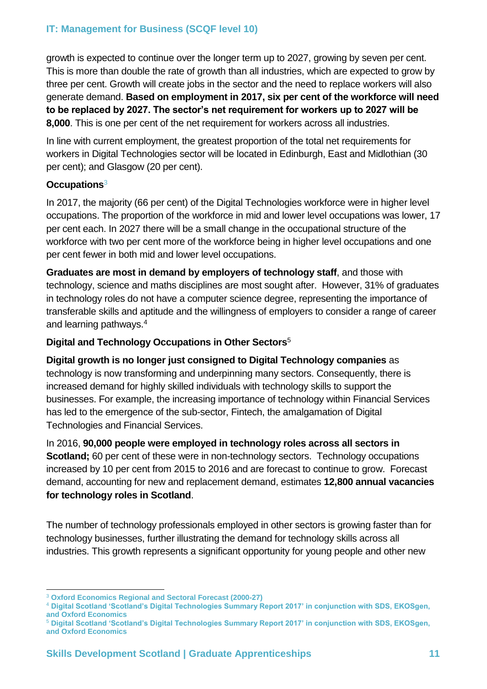growth is expected to continue over the longer term up to 2027, growing by seven per cent. This is more than double the rate of growth than all industries, which are expected to grow by three per cent. Growth will create jobs in the sector and the need to replace workers will also generate demand. **Based on employment in 2017, six per cent of the workforce will need to be replaced by 2027. The sector's net requirement for workers up to 2027 will be 8,000**. This is one per cent of the net requirement for workers across all industries.

In line with current employment, the greatest proportion of the total net requirements for workers in Digital Technologies sector will be located in Edinburgh, East and Midlothian (30 per cent); and Glasgow (20 per cent).

## **Occupations**<sup>3</sup>

In 2017, the majority (66 per cent) of the Digital Technologies workforce were in higher level occupations. The proportion of the workforce in mid and lower level occupations was lower, 17 per cent each. In 2027 there will be a small change in the occupational structure of the workforce with two per cent more of the workforce being in higher level occupations and one per cent fewer in both mid and lower level occupations.

**Graduates are most in demand by employers of technology staff**, and those with technology, science and maths disciplines are most sought after. However, 31% of graduates in technology roles do not have a computer science degree, representing the importance of transferable skills and aptitude and the willingness of employers to consider a range of career and learning pathways.<sup>4</sup>

## **Digital and Technology Occupations in Other Sectors**<sup>5</sup>

**Digital growth is no longer just consigned to Digital Technology companies** as technology is now transforming and underpinning many sectors. Consequently, there is increased demand for highly skilled individuals with technology skills to support the businesses. For example, the increasing importance of technology within Financial Services has led to the emergence of the sub-sector, Fintech, the amalgamation of Digital Technologies and Financial Services.

In 2016, **90,000 people were employed in technology roles across all sectors in Scotland;** 60 per cent of these were in non-technology sectors. Technology occupations increased by 10 per cent from 2015 to 2016 and are forecast to continue to grow. Forecast demand, accounting for new and replacement demand, estimates **12,800 annual vacancies for technology roles in Scotland**.

The number of technology professionals employed in other sectors is growing faster than for technology businesses, further illustrating the demand for technology skills across all industries. This growth represents a significant opportunity for young people and other new

<sup>-</sup><sup>3</sup> **Oxford Economics Regional and Sectoral Forecast (2000-27)** 

<sup>4</sup> **Digital Scotland 'Scotland's Digital Technologies Summary Report 2017' in conjunction with SDS, EKOSgen, and Oxford Economics** 

<sup>5</sup> **Digital Scotland 'Scotland's Digital Technologies Summary Report 2017' in conjunction with SDS, EKOSgen, and Oxford Economics**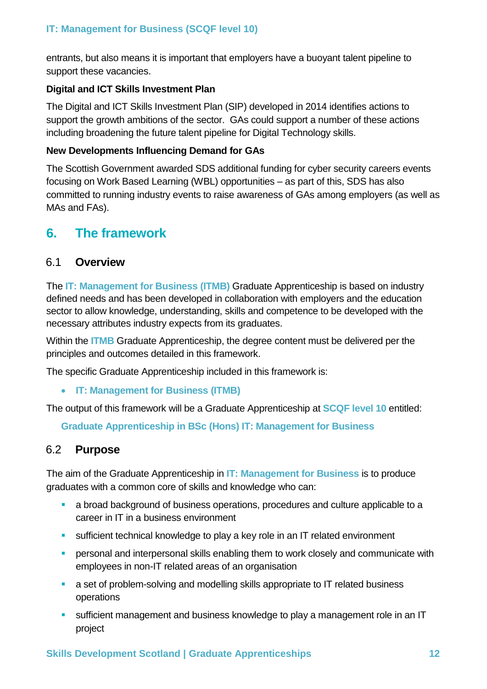entrants, but also means it is important that employers have a buoyant talent pipeline to support these vacancies.

## **Digital and ICT Skills Investment Plan**

The Digital and ICT Skills Investment Plan (SIP) developed in 2014 identifies actions to support the growth ambitions of the sector. GAs could support a number of these actions including broadening the future talent pipeline for Digital Technology skills.

## **New Developments Influencing Demand for GAs**

The Scottish Government awarded SDS additional funding for cyber security careers events focusing on Work Based Learning (WBL) opportunities – as part of this, SDS has also committed to running industry events to raise awareness of GAs among employers (as well as MAs and FAs).

## <span id="page-11-0"></span>**6. The framework**

## <span id="page-11-1"></span>6.1 **Overview**

The **IT: Management for Business (ITMB)** Graduate Apprenticeship is based on industry defined needs and has been developed in collaboration with employers and the education sector to allow knowledge, understanding, skills and competence to be developed with the necessary attributes industry expects from its graduates.

Within the **ITMB** Graduate Apprenticeship, the degree content must be delivered per the principles and outcomes detailed in this framework.

The specific Graduate Apprenticeship included in this framework is:

• **IT: Management for Business (ITMB)**

The output of this framework will be a Graduate Apprenticeship at **SCQF level 10** entitled:

**Graduate Apprenticeship in BSc (Hons) IT: Management for Business**

## <span id="page-11-2"></span>6.2 **Purpose**

The aim of the Graduate Apprenticeship in **IT: Management for Business** is to produce graduates with a common core of skills and knowledge who can:

- a broad background of business operations, procedures and culture applicable to a career in IT in a business environment
- **E** sufficient technical knowledge to play a key role in an IT related environment
- **•** personal and interpersonal skills enabling them to work closely and communicate with employees in non-IT related areas of an organisation
- a set of problem-solving and modelling skills appropriate to IT related business operations
- **E** sufficient management and business knowledge to play a management role in an IT project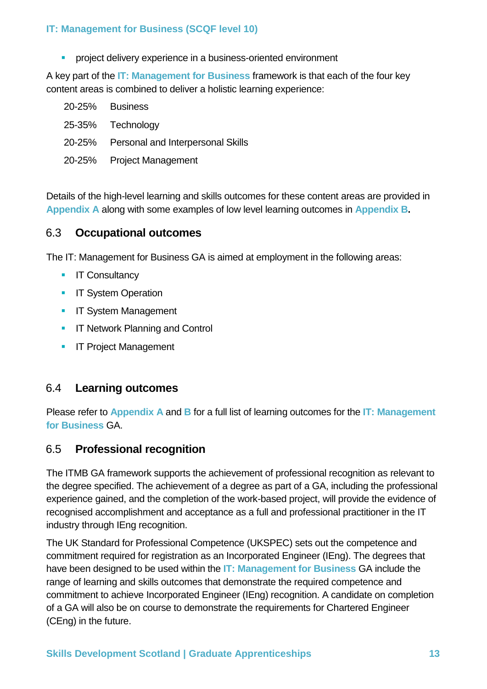**•** project delivery experience in a business-oriented environment

A key part of the **IT: Management for Business** framework is that each of the four key content areas is combined to deliver a holistic learning experience:

20-25% Business 25-35% Technology 20-25% Personal and Interpersonal Skills 20-25% Project Management

Details of the high-level learning and skills outcomes for these content areas are provided in **Appendix A** along with some examples of low level learning outcomes in **Appendix B.**

## <span id="page-12-0"></span>6.3 **Occupational outcomes**

The IT: Management for Business GA is aimed at employment in the following areas:

- **■** IT Consultancy
- **E** IT System Operation
- **E** IT System Management
- **■** IT Network Planning and Control
- **E** IT Project Management

## <span id="page-12-1"></span>6.4 **Learning outcomes**

Please refer to **Appendix A** and **B** for a full list of learning outcomes for the **IT: Management for Business** GA.

## <span id="page-12-2"></span>6.5 **Professional recognition**

The ITMB GA framework supports the achievement of professional recognition as relevant to the degree specified. The achievement of a degree as part of a GA, including the professional experience gained, and the completion of the work-based project, will provide the evidence of recognised accomplishment and acceptance as a full and professional practitioner in the IT industry through IEng recognition.

The UK Standard for Professional Competence (UKSPEC) sets out the competence and commitment required for registration as an Incorporated Engineer (IEng). The degrees that have been designed to be used within the **IT: Management for Business** GA include the range of learning and skills outcomes that demonstrate the required competence and commitment to achieve Incorporated Engineer (IEng) recognition. A candidate on completion of a GA will also be on course to demonstrate the requirements for Chartered Engineer (CEng) in the future.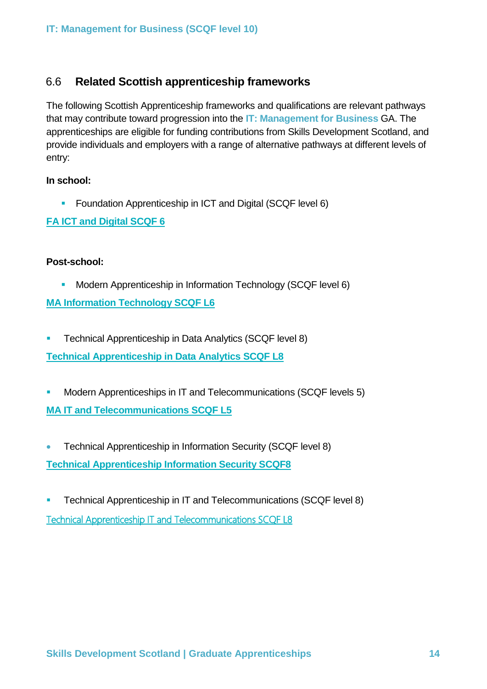## <span id="page-13-0"></span>6.6 **Related Scottish apprenticeship frameworks**

The following Scottish Apprenticeship frameworks and qualifications are relevant pathways that may contribute toward progression into the **IT: Management for Business** GA. The apprenticeships are eligible for funding contributions from Skills Development Scotland, and provide individuals and employers with a range of alternative pathways at different levels of entry:

#### **In school:**

**EXECUTE:** Foundation Apprenticeship in ICT and Digital (SCQF level 6)

## **[FA ICT and Digital SCQF 6](http://www.skillsdevelopmentscotland.co.uk/media/43496/fa-information-technology-framework.pdf)**

#### **Post-school:**

**• Modern Apprenticeship in Information Technology (SCQF level 6)** 

**[MA Information Technology SCQF L6](http://www.skillsdevelopmentscotland.co.uk/media/43496/fa-information-technology-framework.pdf)**

**EXECTE THE TECHNICAL Apprenticeship in Data Analytics (SCQF level 8)** 

**[Technical Apprenticeship in Data Analytics SCQF L8](http://www.skillsdevelopmentscotland.co.uk/media/43381/data-analytics-at-scqf-level-8.pdf)**

- Modern Apprenticeships in IT and Telecommunications (SCQF levels 5) **[MA IT and Telecommunications SCQF L5](http://www.skillsdevelopmentscotland.co.uk/media/42138/tp-l2-ma-it-and-telecoms-2.pdf)**
- Technical Apprenticeship in Information Security (SCQF level 8) **[Technical Apprenticeship Information Security SCQF8](http://www.skillsdevelopmentscotland.co.uk/media/33401/information_security_technical_apprenticeship_aug_2014.pdf)**
- **EXECTE Technical Apprenticeship in IT and Telecommunications (SCQF level 8)** [Technical Apprenticeship IT and Telecommunications SCQF L8](http://www.skillsdevelopmentscotland.co.uk/media/41609/tp-l4-ta-framework.pdf)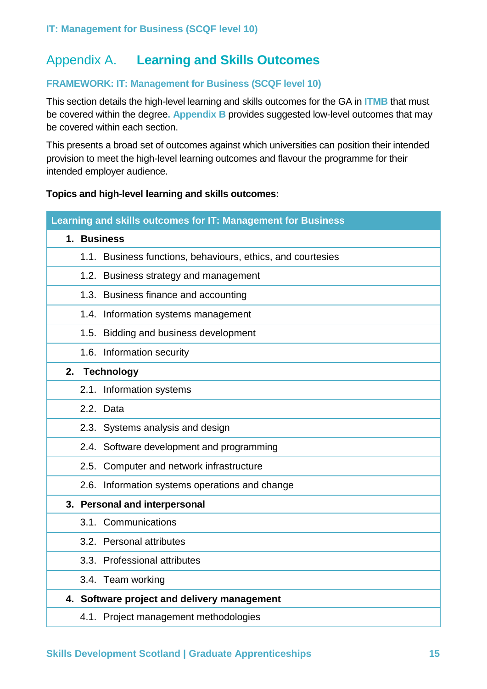## <span id="page-14-0"></span>Appendix A. **Learning and Skills Outcomes**

## **FRAMEWORK: IT: Management for Business (SCQF level 10)**

This section details the high-level learning and skills outcomes for the GA in **ITMB** that must be covered within the degree**. Appendix B** provides suggested low-level outcomes that may be covered within each section.

This presents a broad set of outcomes against which universities can position their intended provision to meet the high-level learning outcomes and flavour the programme for their intended employer audience.

#### **Topics and high-level learning and skills outcomes:**

| Learning and skills outcomes for IT: Management for Business |  |  |  |
|--------------------------------------------------------------|--|--|--|
| 1. Business                                                  |  |  |  |
| 1.1. Business functions, behaviours, ethics, and courtesies  |  |  |  |
| 1.2. Business strategy and management                        |  |  |  |
| 1.3. Business finance and accounting                         |  |  |  |
| 1.4. Information systems management                          |  |  |  |
| 1.5. Bidding and business development                        |  |  |  |
| 1.6. Information security                                    |  |  |  |
| <b>Technology</b><br>2.                                      |  |  |  |
| 2.1. Information systems                                     |  |  |  |
| 2.2. Data                                                    |  |  |  |
| 2.3. Systems analysis and design                             |  |  |  |
| 2.4. Software development and programming                    |  |  |  |
| 2.5. Computer and network infrastructure                     |  |  |  |
| 2.6. Information systems operations and change               |  |  |  |
| 3. Personal and interpersonal                                |  |  |  |
| 3.1. Communications                                          |  |  |  |
| 3.2. Personal attributes                                     |  |  |  |
| 3.3. Professional attributes                                 |  |  |  |
| 3.4. Team working                                            |  |  |  |
| 4. Software project and delivery management                  |  |  |  |
| 4.1. Project management methodologies                        |  |  |  |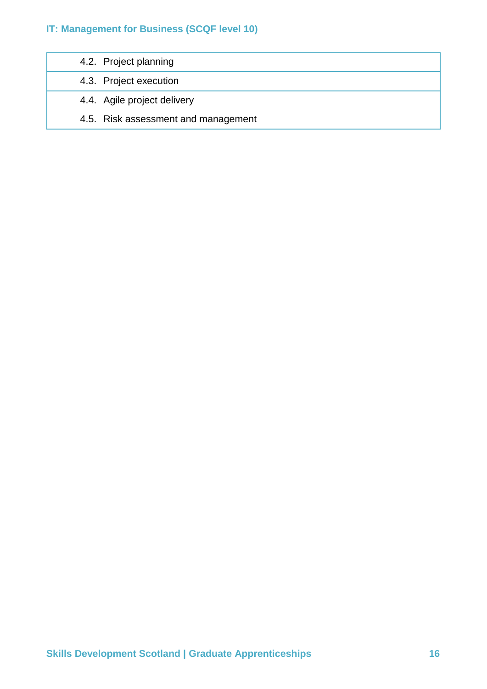| 4.2. Project planning               |
|-------------------------------------|
| 4.3. Project execution              |
| 4.4. Agile project delivery         |
| 4.5. Risk assessment and management |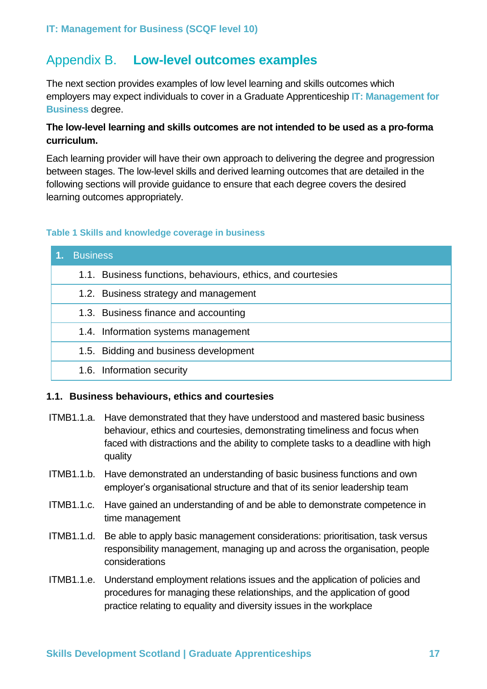## <span id="page-16-0"></span>Appendix B. **Low-level outcomes examples**

The next section provides examples of low level learning and skills outcomes which employers may expect individuals to cover in a Graduate Apprenticeship **IT: Management for Business** degree.

## **The low-level learning and skills outcomes are not intended to be used as a pro-forma curriculum.**

Each learning provider will have their own approach to delivering the degree and progression between stages. The low-level skills and derived learning outcomes that are detailed in the following sections will provide guidance to ensure that each degree covers the desired learning outcomes appropriately.

#### **Table 1 Skills and knowledge coverage in business**

| <b>Business</b>                                             |
|-------------------------------------------------------------|
| 1.1. Business functions, behaviours, ethics, and courtesies |
| 1.2. Business strategy and management                       |
| 1.3. Business finance and accounting                        |
| 1.4. Information systems management                         |
| 1.5. Bidding and business development                       |
| 1.6. Information security                                   |

#### **1.1. Business behaviours, ethics and courtesies**

- ITMB1.1.a. Have demonstrated that they have understood and mastered basic business behaviour, ethics and courtesies, demonstrating timeliness and focus when faced with distractions and the ability to complete tasks to a deadline with high quality
- ITMB1.1.b. Have demonstrated an understanding of basic business functions and own employer's organisational structure and that of its senior leadership team
- ITMB1.1.c. Have gained an understanding of and be able to demonstrate competence in time management
- ITMB1.1.d. Be able to apply basic management considerations: prioritisation, task versus responsibility management, managing up and across the organisation, people considerations
- ITMB1.1.e. Understand employment relations issues and the application of policies and procedures for managing these relationships, and the application of good practice relating to equality and diversity issues in the workplace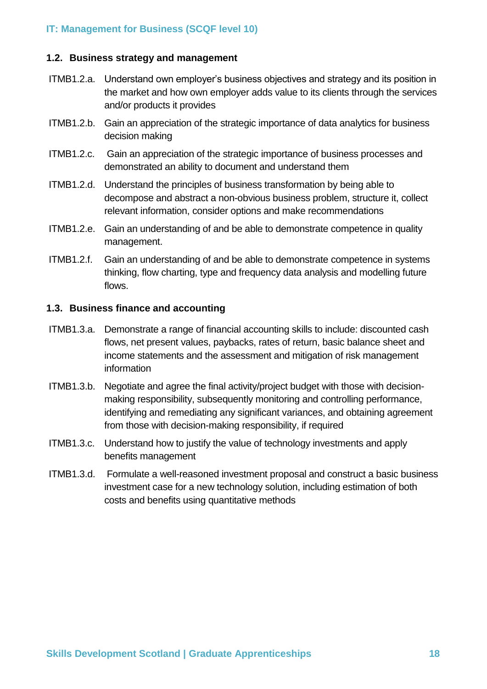#### **1.2. Business strategy and management**

- ITMB1.2.a. Understand own employer's business objectives and strategy and its position in the market and how own employer adds value to its clients through the services and/or products it provides
- ITMB1.2.b. Gain an appreciation of the strategic importance of data analytics for business decision making
- ITMB1.2.c. Gain an appreciation of the strategic importance of business processes and demonstrated an ability to document and understand them
- ITMB1.2.d. Understand the principles of business transformation by being able to decompose and abstract a non-obvious business problem, structure it, collect relevant information, consider options and make recommendations
- ITMB1.2.e. Gain an understanding of and be able to demonstrate competence in quality management.
- ITMB1.2.f. Gain an understanding of and be able to demonstrate competence in systems thinking, flow charting, type and frequency data analysis and modelling future flows.

## **1.3. Business finance and accounting**

- ITMB1.3.a. Demonstrate a range of financial accounting skills to include: discounted cash flows, net present values, paybacks, rates of return, basic balance sheet and income statements and the assessment and mitigation of risk management information
- ITMB1.3.b. Negotiate and agree the final activity/project budget with those with decisionmaking responsibility, subsequently monitoring and controlling performance, identifying and remediating any significant variances, and obtaining agreement from those with decision-making responsibility, if required
- ITMB1.3.c. Understand how to justify the value of technology investments and apply benefits management
- ITMB1.3.d. Formulate a well-reasoned investment proposal and construct a basic business investment case for a new technology solution, including estimation of both costs and benefits using quantitative methods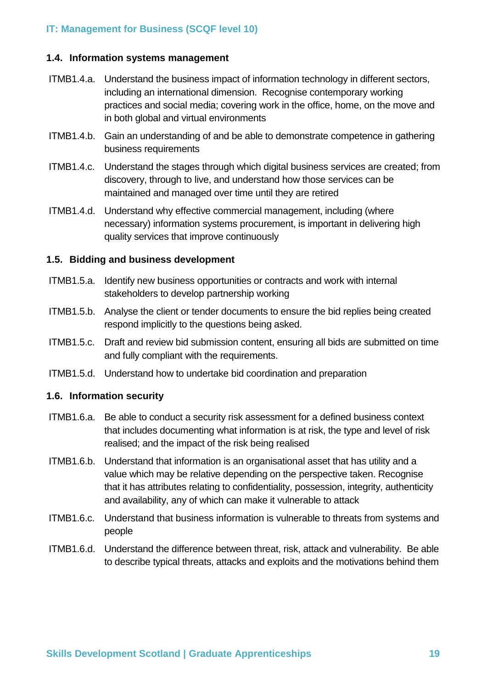#### **1.4. Information systems management**

- ITMB1.4.a. Understand the business impact of information technology in different sectors, including an international dimension. Recognise contemporary working practices and social media; covering work in the office, home, on the move and in both global and virtual environments
- ITMB1.4.b. Gain an understanding of and be able to demonstrate competence in gathering business requirements
- ITMB1.4.c. Understand the stages through which digital business services are created; from discovery, through to live, and understand how those services can be maintained and managed over time until they are retired
- ITMB1.4.d. Understand why effective commercial management, including (where necessary) information systems procurement, is important in delivering high quality services that improve continuously

#### **1.5. Bidding and business development**

- ITMB1.5.a. Identify new business opportunities or contracts and work with internal stakeholders to develop partnership working
- ITMB1.5.b. Analyse the client or tender documents to ensure the bid replies being created respond implicitly to the questions being asked.
- ITMB1.5.c. Draft and review bid submission content, ensuring all bids are submitted on time and fully compliant with the requirements.
- ITMB1.5.d. Understand how to undertake bid coordination and preparation

#### **1.6. Information security**

- ITMB1.6.a. Be able to conduct a security risk assessment for a defined business context that includes documenting what information is at risk, the type and level of risk realised; and the impact of the risk being realised
- ITMB1.6.b. Understand that information is an organisational asset that has utility and a value which may be relative depending on the perspective taken. Recognise that it has attributes relating to confidentiality, possession, integrity, authenticity and availability, any of which can make it vulnerable to attack
- ITMB1.6.c. Understand that business information is vulnerable to threats from systems and people
- ITMB1.6.d. Understand the difference between threat, risk, attack and vulnerability. Be able to describe typical threats, attacks and exploits and the motivations behind them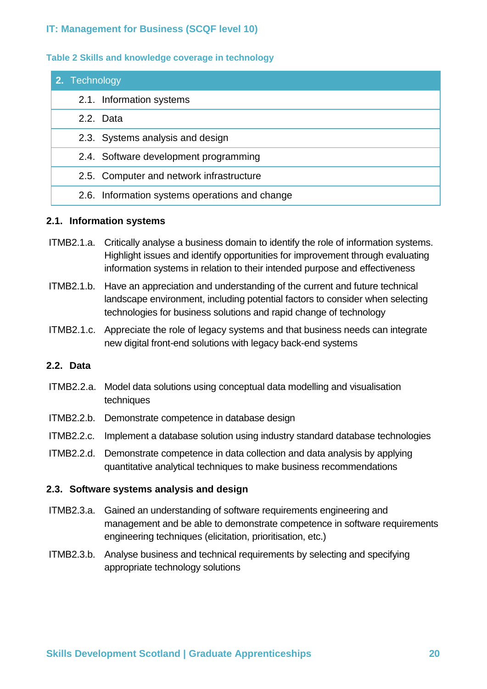#### **Table 2 Skills and knowledge coverage in technology**

| 2. Technology                                  |
|------------------------------------------------|
| 2.1. Information systems                       |
| 2.2. Data                                      |
| 2.3. Systems analysis and design               |
| 2.4. Software development programming          |
| 2.5. Computer and network infrastructure       |
| 2.6. Information systems operations and change |

#### **2.1. Information systems**

- ITMB2.1.a. Critically analyse a business domain to identify the role of information systems. Highlight issues and identify opportunities for improvement through evaluating information systems in relation to their intended purpose and effectiveness
- ITMB2.1.b. Have an appreciation and understanding of the current and future technical landscape environment, including potential factors to consider when selecting technologies for business solutions and rapid change of technology
- ITMB2.1.c. Appreciate the role of legacy systems and that business needs can integrate new digital front-end solutions with legacy back-end systems

#### **2.2. Data**

- ITMB2.2.a. Model data solutions using conceptual data modelling and visualisation techniques
- ITMB2.2.b. Demonstrate competence in database design
- ITMB2.2.c. Implement a database solution using industry standard database technologies
- ITMB2.2.d. Demonstrate competence in data collection and data analysis by applying quantitative analytical techniques to make business recommendations

#### **2.3. Software systems analysis and design**

- ITMB2.3.a. Gained an understanding of software requirements engineering and management and be able to demonstrate competence in software requirements engineering techniques (elicitation, prioritisation, etc.)
- ITMB2.3.b. Analyse business and technical requirements by selecting and specifying appropriate technology solutions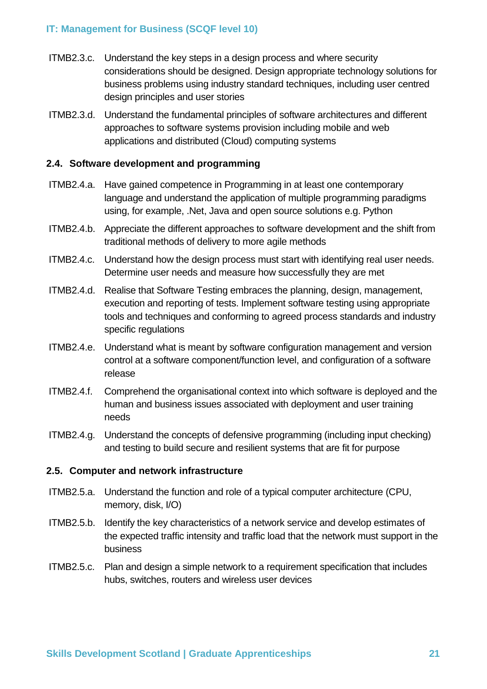- ITMB2.3.c. Understand the key steps in a design process and where security considerations should be designed. Design appropriate technology solutions for business problems using industry standard techniques, including user centred design principles and user stories
- ITMB2.3.d. Understand the fundamental principles of software architectures and different approaches to software systems provision including mobile and web applications and distributed (Cloud) computing systems

## **2.4. Software development and programming**

- ITMB2.4.a. Have gained competence in Programming in at least one contemporary language and understand the application of multiple programming paradigms using, for example, .Net, Java and open source solutions e.g. Python
- ITMB2.4.b. Appreciate the different approaches to software development and the shift from traditional methods of delivery to more agile methods
- ITMB2.4.c. Understand how the design process must start with identifying real user needs. Determine user needs and measure how successfully they are met
- ITMB2.4.d. Realise that Software Testing embraces the planning, design, management, execution and reporting of tests. Implement software testing using appropriate tools and techniques and conforming to agreed process standards and industry specific regulations
- ITMB2.4.e. Understand what is meant by software configuration management and version control at a software component/function level, and configuration of a software release
- ITMB2.4.f. Comprehend the organisational context into which software is deployed and the human and business issues associated with deployment and user training needs
- ITMB2.4.g. Understand the concepts of defensive programming (including input checking) and testing to build secure and resilient systems that are fit for purpose

#### **2.5. Computer and network infrastructure**

- ITMB2.5.a. Understand the function and role of a typical computer architecture (CPU, memory, disk, I/O)
- ITMB2.5.b. Identify the key characteristics of a network service and develop estimates of the expected traffic intensity and traffic load that the network must support in the business
- ITMB2.5.c. Plan and design a simple network to a requirement specification that includes hubs, switches, routers and wireless user devices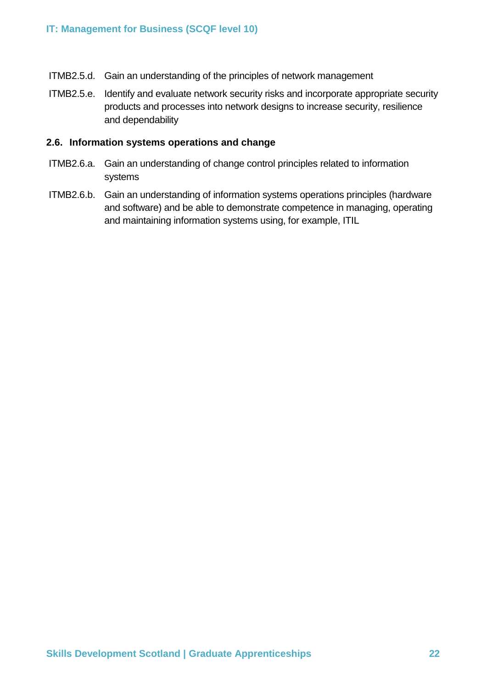- ITMB2.5.d. Gain an understanding of the principles of network management
- ITMB2.5.e. Identify and evaluate network security risks and incorporate appropriate security products and processes into network designs to increase security, resilience and dependability

#### **2.6. Information systems operations and change**

- ITMB2.6.a. Gain an understanding of change control principles related to information systems
- ITMB2.6.b. Gain an understanding of information systems operations principles (hardware and software) and be able to demonstrate competence in managing, operating and maintaining information systems using, for example, ITIL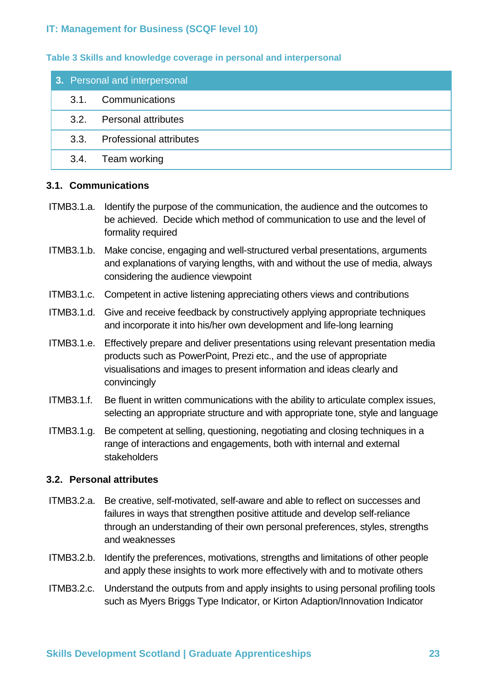#### **Table 3 Skills and knowledge coverage in personal and interpersonal**

| 3. Personal and interpersonal |                              |  |  |
|-------------------------------|------------------------------|--|--|
|                               | 3.1. Communications          |  |  |
|                               | 3.2. Personal attributes     |  |  |
|                               | 3.3. Professional attributes |  |  |
|                               | 3.4. Team working            |  |  |

#### **3.1. Communications**

- ITMB3.1.a. Identify the purpose of the communication, the audience and the outcomes to be achieved. Decide which method of communication to use and the level of formality required
- ITMB3.1.b. Make concise, engaging and well-structured verbal presentations, arguments and explanations of varying lengths, with and without the use of media, always considering the audience viewpoint
- ITMB3.1.c. Competent in active listening appreciating others views and contributions
- ITMB3.1.d. Give and receive feedback by constructively applying appropriate techniques and incorporate it into his/her own development and life-long learning
- ITMB3.1.e. Effectively prepare and deliver presentations using relevant presentation media products such as PowerPoint, Prezi etc., and the use of appropriate visualisations and images to present information and ideas clearly and convincingly
- ITMB3.1.f. Be fluent in written communications with the ability to articulate complex issues, selecting an appropriate structure and with appropriate tone, style and language
- ITMB3.1.g. Be competent at selling, questioning, negotiating and closing techniques in a range of interactions and engagements, both with internal and external stakeholders

#### **3.2. Personal attributes**

- ITMB3.2.a. Be creative, self-motivated, self-aware and able to reflect on successes and failures in ways that strengthen positive attitude and develop self-reliance through an understanding of their own personal preferences, styles, strengths and weaknesses
- ITMB3.2.b. Identify the preferences, motivations, strengths and limitations of other people and apply these insights to work more effectively with and to motivate others
- ITMB3.2.c. Understand the outputs from and apply insights to using personal profiling tools such as Myers Briggs Type Indicator, or Kirton Adaption/Innovation Indicator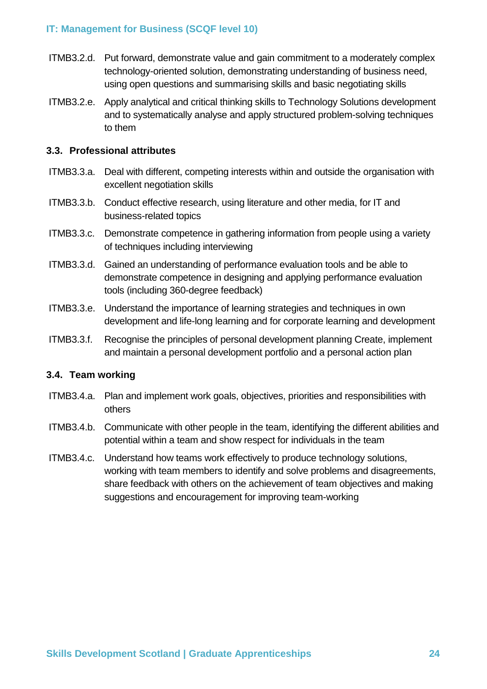- ITMB3.2.d. Put forward, demonstrate value and gain commitment to a moderately complex technology-oriented solution, demonstrating understanding of business need, using open questions and summarising skills and basic negotiating skills
- ITMB3.2.e. Apply analytical and critical thinking skills to Technology Solutions development and to systematically analyse and apply structured problem-solving techniques to them

## **3.3. Professional attributes**

- ITMB3.3.a. Deal with different, competing interests within and outside the organisation with excellent negotiation skills
- ITMB3.3.b. Conduct effective research, using literature and other media, for IT and business-related topics
- ITMB3.3.c. Demonstrate competence in gathering information from people using a variety of techniques including interviewing
- ITMB3.3.d. Gained an understanding of performance evaluation tools and be able to demonstrate competence in designing and applying performance evaluation tools (including 360-degree feedback)
- ITMB3.3.e. Understand the importance of learning strategies and techniques in own development and life-long learning and for corporate learning and development
- ITMB3.3.f. Recognise the principles of personal development planning Create, implement and maintain a personal development portfolio and a personal action plan

## **3.4. Team working**

- ITMB3.4.a. Plan and implement work goals, objectives, priorities and responsibilities with others
- ITMB3.4.b. Communicate with other people in the team, identifying the different abilities and potential within a team and show respect for individuals in the team
- ITMB3.4.c. Understand how teams work effectively to produce technology solutions, working with team members to identify and solve problems and disagreements, share feedback with others on the achievement of team objectives and making suggestions and encouragement for improving team-working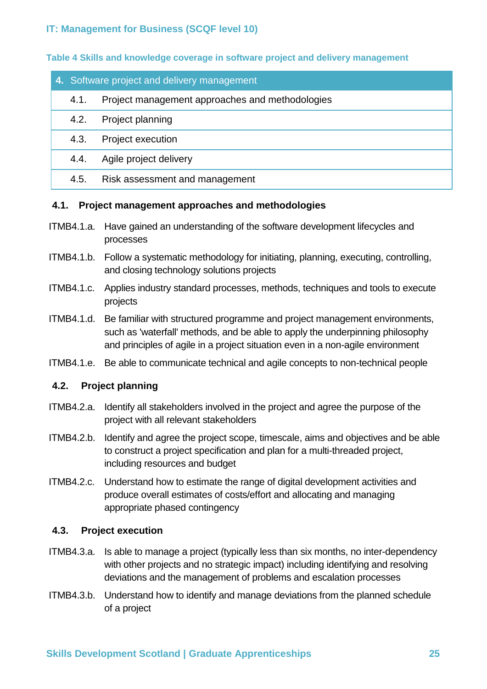**Table 4 Skills and knowledge coverage in software project and delivery management**

|      | 4. Software project and delivery management     |  |  |
|------|-------------------------------------------------|--|--|
| 4.1. | Project management approaches and methodologies |  |  |
| 4.2. | Project planning                                |  |  |
| 4.3. | Project execution                               |  |  |
| 4.4. | Agile project delivery                          |  |  |
| 4.5. | Risk assessment and management                  |  |  |

#### **4.1. Project management approaches and methodologies**

- ITMB4.1.a. Have gained an understanding of the software development lifecycles and processes
- ITMB4.1.b. Follow a systematic methodology for initiating, planning, executing, controlling, and closing technology solutions projects
- ITMB4.1.c. Applies industry standard processes, methods, techniques and tools to execute projects
- ITMB4.1.d. Be familiar with structured programme and project management environments, such as 'waterfall' methods, and be able to apply the underpinning philosophy and principles of agile in a project situation even in a non-agile environment
- ITMB4.1.e. Be able to communicate technical and agile concepts to non-technical people

#### **4.2. Project planning**

- ITMB4.2.a. Identify all stakeholders involved in the project and agree the purpose of the project with all relevant stakeholders
- ITMB4.2.b. Identify and agree the project scope, timescale, aims and objectives and be able to construct a project specification and plan for a multi-threaded project, including resources and budget
- ITMB4.2.c. Understand how to estimate the range of digital development activities and produce overall estimates of costs/effort and allocating and managing appropriate phased contingency

#### **4.3. Project execution**

- ITMB4.3.a. Is able to manage a project (typically less than six months, no inter-dependency with other projects and no strategic impact) including identifying and resolving deviations and the management of problems and escalation processes
- ITMB4.3.b. Understand how to identify and manage deviations from the planned schedule of a project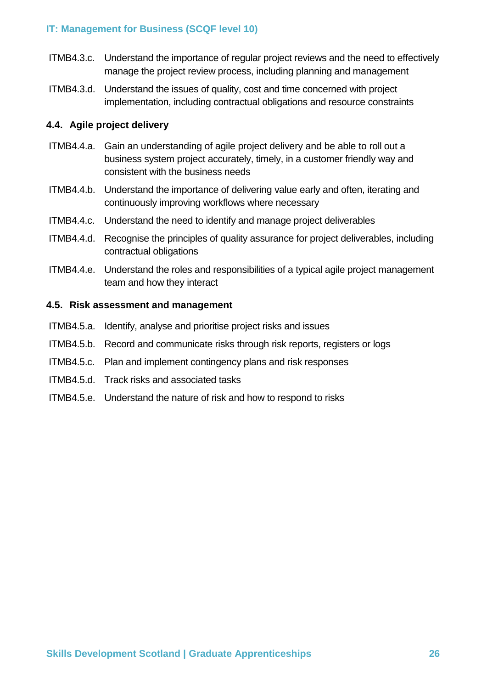- ITMB4.3.c. Understand the importance of regular project reviews and the need to effectively manage the project review process, including planning and management
- ITMB4.3.d. Understand the issues of quality, cost and time concerned with project implementation, including contractual obligations and resource constraints

## **4.4. Agile project delivery**

- ITMB4.4.a. Gain an understanding of agile project delivery and be able to roll out a business system project accurately, timely, in a customer friendly way and consistent with the business needs
- ITMB4.4.b. Understand the importance of delivering value early and often, iterating and continuously improving workflows where necessary
- ITMB4.4.c. Understand the need to identify and manage project deliverables
- ITMB4.4.d. Recognise the principles of quality assurance for project deliverables, including contractual obligations
- ITMB4.4.e. Understand the roles and responsibilities of a typical agile project management team and how they interact

#### **4.5. Risk assessment and management**

- ITMB4.5.a. Identify, analyse and prioritise project risks and issues
- ITMB4.5.b. Record and communicate risks through risk reports, registers or logs
- ITMB4.5.c. Plan and implement contingency plans and risk responses
- ITMB4.5.d. Track risks and associated tasks
- ITMB4.5.e. Understand the nature of risk and how to respond to risks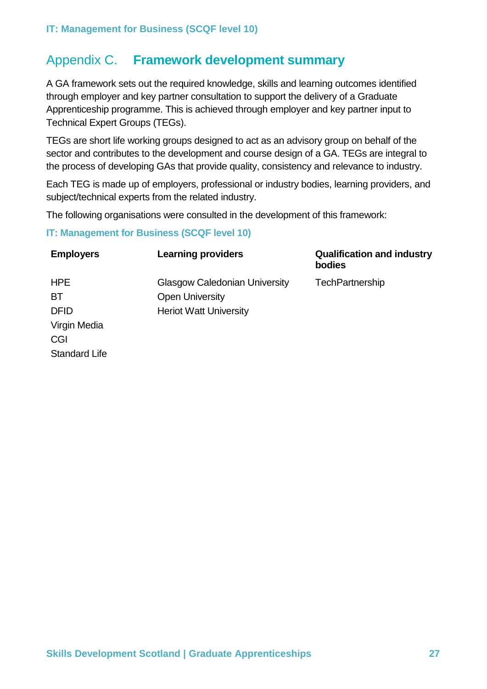## <span id="page-26-0"></span>Appendix C. **Framework development summary**

A GA framework sets out the required knowledge, skills and learning outcomes identified through employer and key partner consultation to support the delivery of a Graduate Apprenticeship programme. This is achieved through employer and key partner input to Technical Expert Groups (TEGs).

TEGs are short life working groups designed to act as an advisory group on behalf of the sector and contributes to the development and course design of a GA. TEGs are integral to the process of developing GAs that provide quality, consistency and relevance to industry.

Each TEG is made up of employers, professional or industry bodies, learning providers, and subject/technical experts from the related industry.

The following organisations were consulted in the development of this framework:

#### **IT: Management for Business (SCQF level 10)**

| <b>Employers</b>     | <b>Learning providers</b>            | <b>Qualification and industry</b><br>bodies |
|----------------------|--------------------------------------|---------------------------------------------|
| <b>HPE</b>           | <b>Glasgow Caledonian University</b> | TechPartnership                             |
| <b>BT</b>            | <b>Open University</b>               |                                             |
| <b>DFID</b>          | <b>Heriot Watt University</b>        |                                             |
| Virgin Media         |                                      |                                             |
| CGI                  |                                      |                                             |
| <b>Standard Life</b> |                                      |                                             |